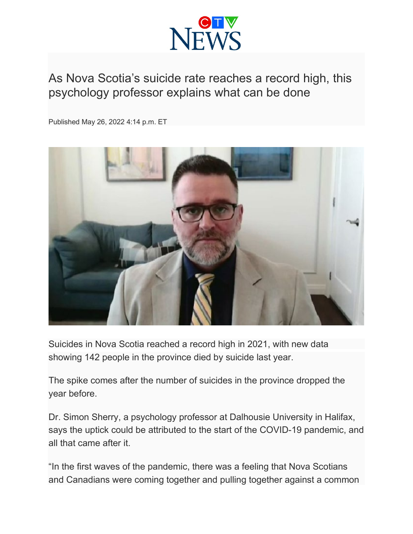

## As Nova Scotia's suicide rate reaches a record high, this psychology professor explains what can be done

Published May 26, 2022 4:14 p.m. ET



Suicides in Nova Scotia reached a record high in 2021, with new data showing 142 people in the province died by suicide last year.

The spike comes after the number of suicides in the province dropped the year before.

Dr. Simon Sherry, a psychology professor at Dalhousie University in Halifax, says the uptick could be attributed to the start of the COVID-19 pandemic, and all that came after it.

"In the first waves of the pandemic, there was a feeling that Nova Scotians and Canadians were coming together and pulling together against a common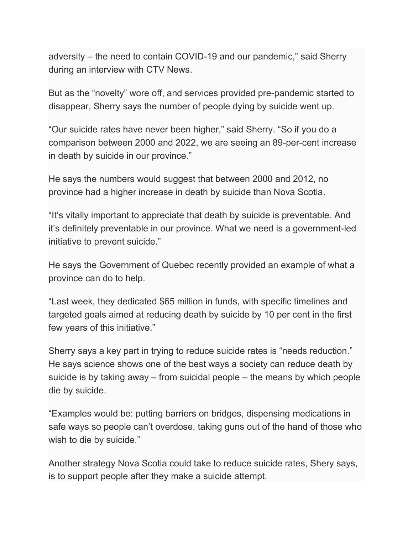adversity – the need to contain COVID-19 and our pandemic," said Sherry during an interview with CTV News.

But as the "novelty" wore off, and services provided pre-pandemic started to disappear, Sherry says the number of people dying by suicide went up.

"Our suicide rates have never been higher," said Sherry. "So if you do a comparison between 2000 and 2022, we are seeing an 89-per-cent increase in death by suicide in our province."

He says the numbers would suggest that between 2000 and 2012, no province had a higher increase in death by suicide than Nova Scotia.

"It's vitally important to appreciate that death by suicide is preventable. And it's definitely preventable in our province. What we need is a government-led initiative to prevent suicide."

He says the Government of Quebec recently provided an example of what a province can do to help.

"Last week, they dedicated \$65 million in funds, with specific timelines and targeted goals aimed at reducing death by suicide by 10 per cent in the first few years of this initiative."

Sherry says a key part in trying to reduce suicide rates is "needs reduction." He says science shows one of the best ways a society can reduce death by suicide is by taking away – from suicidal people – the means by which people die by suicide.

"Examples would be: putting barriers on bridges, dispensing medications in safe ways so people can't overdose, taking guns out of the hand of those who wish to die by suicide."

Another strategy Nova Scotia could take to reduce suicide rates, Shery says, is to support people after they make a suicide attempt.